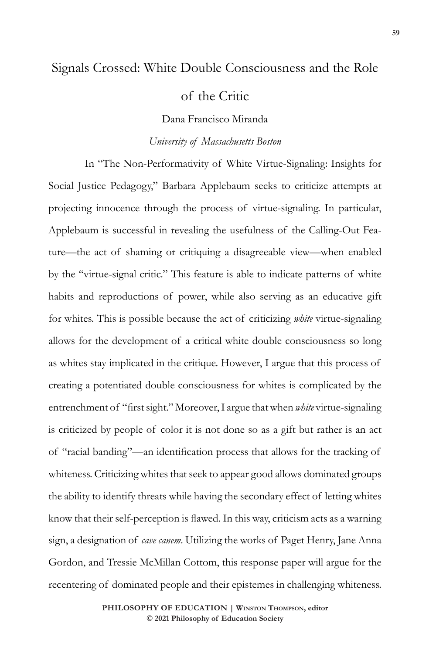## Signals Crossed: White Double Consciousness and the Role

of the Critic

Dana Francisco Miranda

## *University of Massachusetts Boston*

In "The Non-Performativity of White Virtue-Signaling: Insights for Social Justice Pedagogy," Barbara Applebaum seeks to criticize attempts at projecting innocence through the process of virtue-signaling. In particular, Applebaum is successful in revealing the usefulness of the Calling-Out Feature—the act of shaming or critiquing a disagreeable view—when enabled by the "virtue-signal critic." This feature is able to indicate patterns of white habits and reproductions of power, while also serving as an educative gift for whites. This is possible because the act of criticizing *white* virtue-signaling allows for the development of a critical white double consciousness so long as whites stay implicated in the critique. However, I argue that this process of creating a potentiated double consciousness for whites is complicated by the entrenchment of "first sight." Moreover, I argue that when *white* virtue-signaling is criticized by people of color it is not done so as a gift but rather is an act of "racial banding"—an identification process that allows for the tracking of whiteness. Criticizing whites that seek to appear good allows dominated groups the ability to identify threats while having the secondary effect of letting whites know that their self-perception is flawed. In this way, criticism acts as a warning sign, a designation of *cave canem*. Utilizing the works of Paget Henry, Jane Anna Gordon, and Tressie McMillan Cottom, this response paper will argue for the recentering of dominated people and their epistemes in challenging whiteness.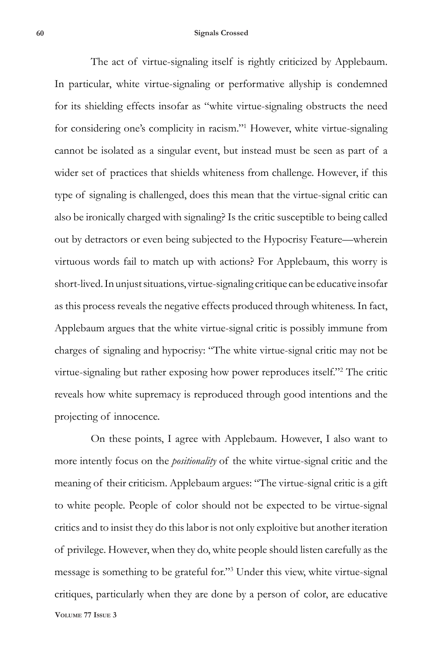The act of virtue-signaling itself is rightly criticized by Applebaum. In particular, white virtue-signaling or performative allyship is condemned for its shielding effects insofar as "white virtue-signaling obstructs the need for considering one's complicity in racism."1 However, white virtue-signaling cannot be isolated as a singular event, but instead must be seen as part of a wider set of practices that shields whiteness from challenge. However, if this type of signaling is challenged, does this mean that the virtue-signal critic can also be ironically charged with signaling? Is the critic susceptible to being called out by detractors or even being subjected to the Hypocrisy Feature—wherein virtuous words fail to match up with actions? For Applebaum, this worry is short-lived. In unjust situations, virtue-signaling critique can be educative insofar as this process reveals the negative effects produced through whiteness. In fact, Applebaum argues that the white virtue-signal critic is possibly immune from charges of signaling and hypocrisy: "The white virtue-signal critic may not be virtue-signaling but rather exposing how power reproduces itself."<sup>2</sup> The critic reveals how white supremacy is reproduced through good intentions and the projecting of innocence.

**Volume 77 Issue 3** On these points, I agree with Applebaum. However, I also want to more intently focus on the *positionality* of the white virtue-signal critic and the meaning of their criticism. Applebaum argues: "The virtue-signal critic is a gift to white people. People of color should not be expected to be virtue-signal critics and to insist they do this labor is not only exploitive but another iteration of privilege. However, when they do, white people should listen carefully as the message is something to be grateful for."3 Under this view, white virtue-signal critiques, particularly when they are done by a person of color, are educative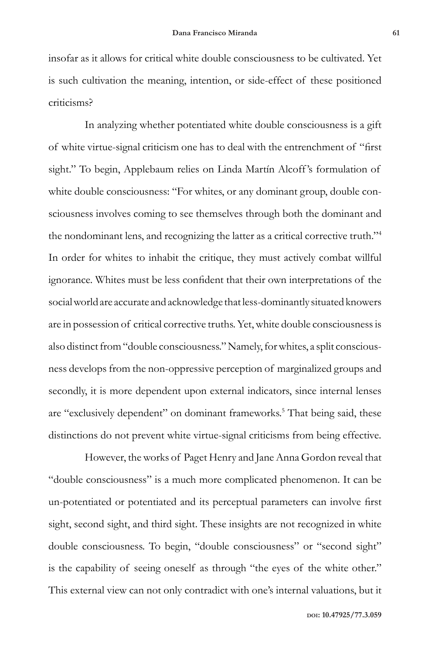insofar as it allows for critical white double consciousness to be cultivated. Yet is such cultivation the meaning, intention, or side-effect of these positioned criticisms?

In analyzing whether potentiated white double consciousness is a gift of white virtue-signal criticism one has to deal with the entrenchment of "first sight." To begin, Applebaum relies on Linda Martín Alcoff's formulation of white double consciousness: "For whites, or any dominant group, double consciousness involves coming to see themselves through both the dominant and the nondominant lens, and recognizing the latter as a critical corrective truth."4 In order for whites to inhabit the critique, they must actively combat willful ignorance. Whites must be less confident that their own interpretations of the social world are accurate and acknowledge that less-dominantly situated knowers are in possession of critical corrective truths. Yet, white double consciousness is also distinct from "double consciousness." Namely, for whites, a split consciousness develops from the non-oppressive perception of marginalized groups and secondly, it is more dependent upon external indicators, since internal lenses are "exclusively dependent" on dominant frameworks.<sup>5</sup> That being said, these distinctions do not prevent white virtue-signal criticisms from being effective.

However, the works of Paget Henry and Jane Anna Gordon reveal that "double consciousness" is a much more complicated phenomenon. It can be un-potentiated or potentiated and its perceptual parameters can involve first sight, second sight, and third sight. These insights are not recognized in white double consciousness. To begin, "double consciousness" or "second sight" is the capability of seeing oneself as through "the eyes of the white other." This external view can not only contradict with one's internal valuations, but it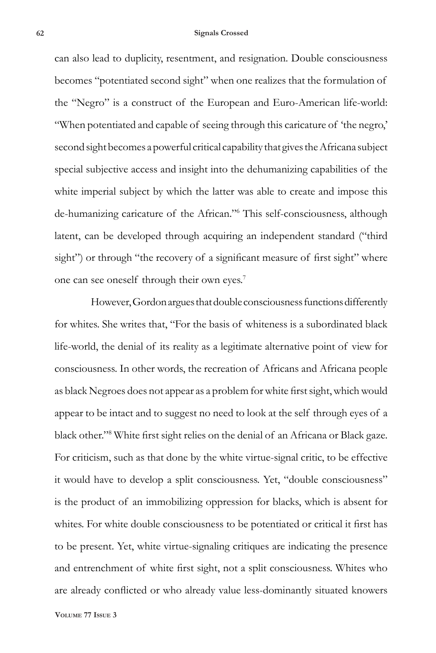can also lead to duplicity, resentment, and resignation. Double consciousness becomes "potentiated second sight" when one realizes that the formulation of the "Negro" is a construct of the European and Euro-American life-world: "When potentiated and capable of seeing through this caricature of 'the negro,' second sight becomes a powerful critical capability that gives the Africana subject special subjective access and insight into the dehumanizing capabilities of the white imperial subject by which the latter was able to create and impose this de-humanizing caricature of the African."6 This self-consciousness, although latent, can be developed through acquiring an independent standard ("third sight") or through "the recovery of a significant measure of first sight" where one can see oneself through their own eyes.7

However, Gordon argues that double consciousness functions differently for whites. She writes that, "For the basis of whiteness is a subordinated black life-world, the denial of its reality as a legitimate alternative point of view for consciousness. In other words, the recreation of Africans and Africana people as black Negroes does not appear as a problem for white first sight, which would appear to be intact and to suggest no need to look at the self through eyes of a black other."8 White first sight relies on the denial of an Africana or Black gaze. For criticism, such as that done by the white virtue-signal critic, to be effective it would have to develop a split consciousness. Yet, "double consciousness" is the product of an immobilizing oppression for blacks, which is absent for whites. For white double consciousness to be potentiated or critical it first has to be present. Yet, white virtue-signaling critiques are indicating the presence and entrenchment of white first sight, not a split consciousness. Whites who are already conflicted or who already value less-dominantly situated knowers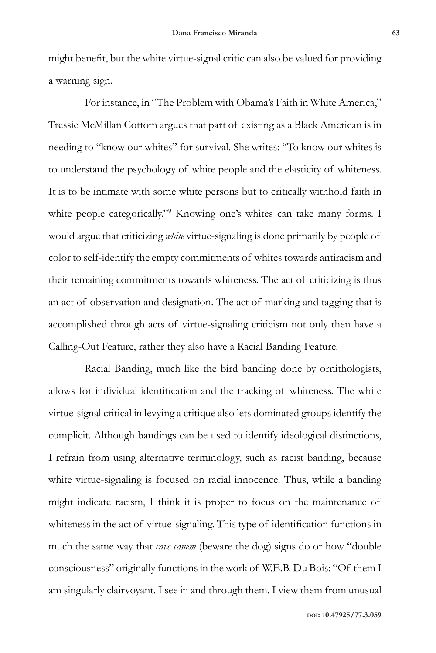might benefit, but the white virtue-signal critic can also be valued for providing a warning sign.

For instance, in "The Problem with Obama's Faith in White America," Tressie McMillan Cottom argues that part of existing as a Black American is in needing to "know our whites" for survival. She writes: "To know our whites is to understand the psychology of white people and the elasticity of whiteness. It is to be intimate with some white persons but to critically withhold faith in white people categorically."<sup>9</sup> Knowing one's whites can take many forms. I would argue that criticizing *white* virtue-signaling is done primarily by people of color to self-identify the empty commitments of whites towards antiracism and their remaining commitments towards whiteness. The act of criticizing is thus an act of observation and designation. The act of marking and tagging that is accomplished through acts of virtue-signaling criticism not only then have a Calling-Out Feature, rather they also have a Racial Banding Feature.

Racial Banding, much like the bird banding done by ornithologists, allows for individual identification and the tracking of whiteness. The white virtue-signal critical in levying a critique also lets dominated groups identify the complicit. Although bandings can be used to identify ideological distinctions, I refrain from using alternative terminology, such as racist banding, because white virtue-signaling is focused on racial innocence. Thus, while a banding might indicate racism, I think it is proper to focus on the maintenance of whiteness in the act of virtue-signaling. This type of identification functions in much the same way that *cave canem* (beware the dog) signs do or how "double consciousness" originally functions in the work of W.E.B. Du Bois: "Of them I am singularly clairvoyant. I see in and through them. I view them from unusual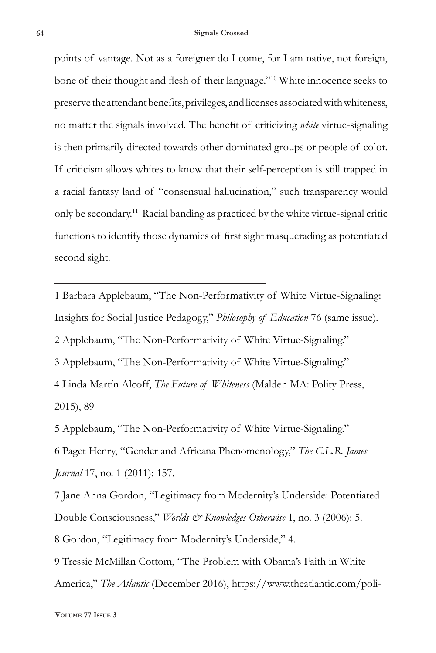points of vantage. Not as a foreigner do I come, for I am native, not foreign, bone of their thought and flesh of their language."10 White innocence seeks to preserve the attendant benefits, privileges, and licenses associated with whiteness, no matter the signals involved. The benefit of criticizing *white* virtue-signaling is then primarily directed towards other dominated groups or people of color. If criticism allows whites to know that their self-perception is still trapped in a racial fantasy land of "consensual hallucination," such transparency would only be secondary.11 Racial banding as practiced by the white virtue-signal critic functions to identify those dynamics of first sight masquerading as potentiated second sight.

 Barbara Applebaum, "The Non-Performativity of White Virtue-Signaling: Insights for Social Justice Pedagogy," *Philosophy of Education* 76 (same issue). Applebaum, "The Non-Performativity of White Virtue-Signaling." Applebaum, "The Non-Performativity of White Virtue-Signaling." Linda Martín Alcoff, *The Future of Whiteness* (Malden MA: Polity Press, 2015), 89

5 Applebaum, "The Non-Performativity of White Virtue-Signaling." 6 Paget Henry, "Gender and Africana Phenomenology," *The C.L.R. James Journal* 17, no. 1 (2011): 157.

7 Jane Anna Gordon, "Legitimacy from Modernity's Underside: Potentiated Double Consciousness," *Worlds & Knowledges Otherwise* 1, no. 3 (2006): 5. 8 Gordon, "Legitimacy from Modernity's Underside," 4.

9 Tressie McMillan Cottom, "The Problem with Obama's Faith in White America," *The Atlantic* (December 2016), https://www.theatlantic.com/poli